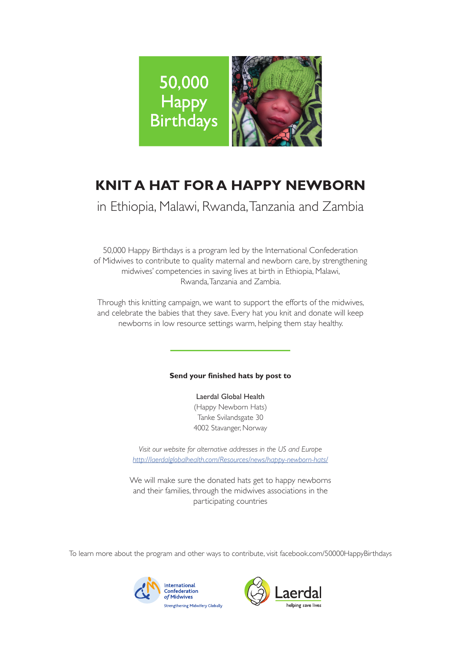

# **KNIT A HAT FOR A HAPPY NEWBORN**

in Ethiopia, Malawi, Rwanda, Tanzania and Zambia

50,000 Happy Birthdays is a program led by the International Confederation of Midwives to contribute to quality maternal and newborn care, by strengthening midwives' competencies in saving lives at birth in Ethiopia, Malawi, Rwanda, Tanzania and Zambia.

Through this knitting campaign, we want to support the efforts of the midwives, and celebrate the babies that they save. Every hat you knit and donate will keep newborns in low resource settings warm, helping them stay healthy.

# **Send your finished hats by post to**

Laerdal Global Health (Happy Newborn Hats) Tanke Svilandsgate 30 4002 Stavanger, Norway

*Visit our website for alternative addresses in the US and Europe http://laerdalglobalhealth.com/Resources/news/happy-newborn-hats/*

We will make sure the donated hats get to happy newborns and their families, through the midwives associations in the participating countries

To learn more about the program and other ways to contribute, visit facebook.com/50000HappyBirthdays